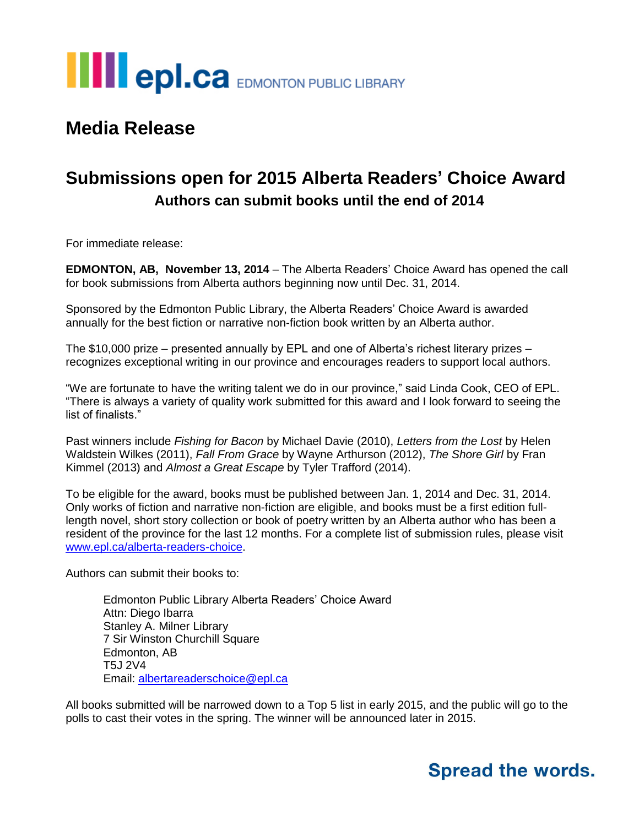

### **Media Release**

## **Submissions open for 2015 Alberta Readers' Choice Award Authors can submit books until the end of 2014**

For immediate release:

**EDMONTON, AB, November 13, 2014** – The Alberta Readers' Choice Award has opened the call for book submissions from Alberta authors beginning now until Dec. 31, 2014.

Sponsored by the Edmonton Public Library, the Alberta Readers' Choice Award is awarded annually for the best fiction or narrative non-fiction book written by an Alberta author.

The \$10,000 prize – presented annually by EPL and one of Alberta's richest literary prizes – recognizes exceptional writing in our province and encourages readers to support local authors.

"We are fortunate to have the writing talent we do in our province," said Linda Cook, CEO of EPL. "There is always a variety of quality work submitted for this award and I look forward to seeing the list of finalists."

Past winners include *Fishing for Bacon* by Michael Davie (2010), *Letters from the Lost* by Helen Waldstein Wilkes (2011), *Fall From Grace* by Wayne Arthurson (2012), *The Shore Girl* by Fran Kimmel (2013) and *Almost a Great Escape* by Tyler Trafford (2014).

To be eligible for the award, books must be published between Jan. 1, 2014 and Dec. 31, 2014. Only works of fiction and narrative non-fiction are eligible, and books must be a first edition fulllength novel, short story collection or book of poetry written by an Alberta author who has been a resident of the province for the last 12 months. For a complete list of submission rules, please visit [www.epl.ca/alberta-readers-choice.](http://www.epl.ca/alberta-readers-choice)

Authors can submit their books to:

Edmonton Public Library Alberta Readers' Choice Award Attn: Diego Ibarra Stanley A. Milner Library 7 Sir Winston Churchill Square Edmonton, AB T5J 2V4 Email: [albertareaderschoice@epl.ca](mailto:albertareaderschoice@epl.ca)

All books submitted will be narrowed down to a Top 5 list in early 2015, and the public will go to the polls to cast their votes in the spring. The winner will be announced later in 2015.

## **Spread the words.**